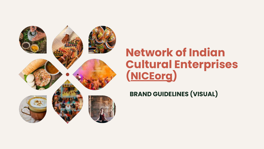

## **Network of Indian Cultural Enterprises [\(NICEorg\)](https://niceorg.in/)**

**BRAND GUIDELINES (VISUAL)**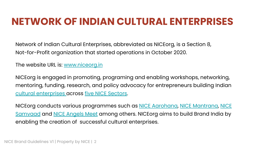## **NETWORK OF INDIAN CULTURAL ENTERPRISES**

Network of Indian Cultural Enterprises, abbreviated as NICEorg, is a Section 8, Not-for-Profit organization that started operations in October 2020.

The website URL is: [www.niceorg.in](http://www.niceorg.in)

NICEorg is engaged in promoting, programing and enabling workshops, networking, mentoring, funding, research, and policy advocacy for entrepreneurs building Indian [cultural enterprises a](https://niceorg.in/what-is-a-cultural-enterprise/)cross [five NICE Sectors](https://niceorg.in/focus-categories/).

NICEorg conducts various programmes such as [NICE Aarohana](https://niceorg.in/aarohana/), [NICE Mantrana](https://niceorg.in/mantrana/), [NICE](https://niceorg.in/samvaad/) [Samvaad](https://niceorg.in/samvaad/) and [NICE Angels Meet](https://niceorg.in/nice-angels-meet/) among others. NICEorg aims to build Brand India by enabling the creation of successful cultural enterprises.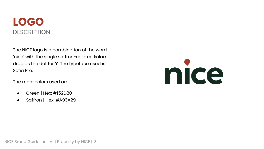## **LOGO DESCRIPTION**

The NICE logo is a combination of the word 'nice' with the single saffron-colored kolam drop as the dot for 'i'. The typeface used is Sofia Pro.

The main colors used are:

- Green | Hex: #152D20
- Saffron | Hex: #A93A29

# nice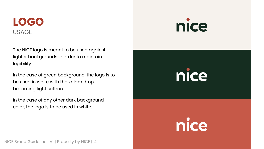## **LOGO** USAGE

The NICE logo is meant to be used against lighter backgrounds in order to maintain legibility.

In the case of green background, the logo is to be used in white with the kolam drop becoming light saffron.

In the case of any other dark background color, the logo is to be used in white.

## nice



nice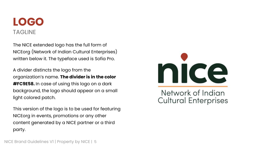## **LOGO** TAGLINE

The NICE extended logo has the full form of NICEorg (Network of Indian Cultural Enterprises) written below it. The typeface used is Sofia Pro.

A divider distincts the logo from the organization's name. **The divider is in the color #FC9E58.** In case of using this logo on a dark background, the logo should appear on a small light colored patch.

This version of the logo is to be used for featuring NICEorg in events, promotions or any other content generated by a NICE partner or a third party.



Network of Indian **Cultural Enterprises**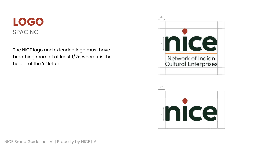## **LOGO** SPACING

The NICE logo and extended logo must have breathing room of at least 1/2x, where x is the height of the 'n' letter.



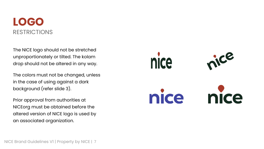## **LOGO** RESTRICTIONS

The NICE logo should not be stretched unproportionately or tilted. The kolam drop should not be altered in any way.

The colors must not be changed, unless in the case of using against a dark background (refer slide 3).

Prior approval from authorities at NICEorg must be obtained before the altered version of NICE logo is used by an associated organization.

ice nice nice nice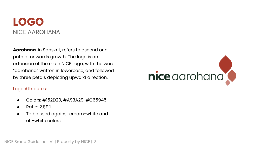## **LOGO** NICE AAROHANA

**Aarohana**, in Sanskrit, refers to ascend or a path of onwards growth. The logo is an extension of the main NICE Logo, with the word "aarohana" written in lowercase, and followed by three petals depicting upward direction.

#### Logo Attributes:

- Colors: #152D20, #A93A29, #C65945
- Ratio: 2.89:1
- To be used against cream-white and off-white colors

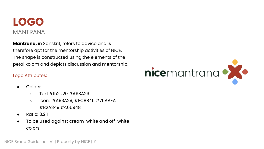

**Mantrana,** in Sanskrit, refers to advice and is therefore apt for the mentorship activities of NICE. The shape is constructed using the elements of the petal kolam and depicts discussion and mentorship.

#### Logo Attributes:

- Colors:
	- Text:#152d20 #A93A29
	- Icon: #A93A29, #FCBB45 #75AAFA #B2A349 #c65948
- Ratio: 3.2:1
- To be used against cream-white and off-white colors

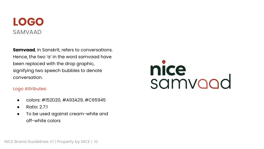## **LOGO** SAMVAAD

**Samvaad**, in Sanskrit, refers to conversations. Hence, the two 'a' in the word samvaad have been replaced with the drop graphic, signifying two speech bubbles to denote conversation.

#### Logo Attributes:

- colors: #152D20, #A93A29, #C65945
- $\bullet$  Ratio: 2.7:1
- To be used against cream-white and off-white colors

# nice<br>samvood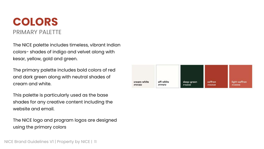## **COLORS** PRIMARY PALETTE

The NICE palette includes timeless, vibrant Indian colors- shades of indigo and velvet along with kesar, yellow, gold and green.

The primary palette includes bold colors of red and dark green along with neutral shades of cream and white.

This palette is particularly used as the base shades for any creative content including the website and email.

The NICE logo and program logos are designed using the primary colors

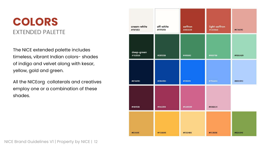## **COLORS** EXTENDED PALETTE

The NICE extended palette includes timeless, vibrant Indian colors- shades of indigo and velvet along with kesar, yellow, gold and green.

All the NICEorg collaterals and creatives employ one or a combination of these shades.

| cream-white<br>#F6F2ED | off-white<br>#FFFEFD | saffron<br>#A93A29 | light-saffron<br>#C65948 | #E7A69C |
|------------------------|----------------------|--------------------|--------------------------|---------|
| deep-green<br>#152D20  | #28533B              | #418862            | #668788                  | #9DDAB9 |
| #E7A69C                | #06429D              | #136EF6            | #75AAFA                  | #BODOFD |
| #4D192B                | #9A3256              | #CD6589            | #E6B2C4                  |         |
| #EIAA51                | #FCBB45              | #FDD486            | #FC9E58                  | #82A349 |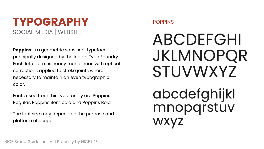## **TYPOGRAPHY** SOCIAL MEDIA | WEBSITE

**Poppins** is a geometric sans serif typeface, principally designed by the Indian Type Foundry. Each letterform is nearly monolinear, with optical corrections applied to stroke joints where necessary to maintain an even typographic color.

Fonts used from this type family are Poppins Regular, Poppins Semibold and Poppins Bold.

The font size may depend on the purpose and platform of usage.

#### POPPINS

# **ABCDEFGHI JKLMNOPQR STUVWXYZ**

abcdefghijkl<br>mnopqrstuv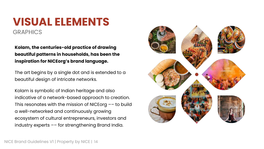## **VISUAL ELEMENTS GRAPHICS**

**Kolam, the centuries-old practice of drawing beautiful patterns in households, has been the inspiration for NICEorg's brand language.**

The art begins by a single dot and is extended to a beautiful design of intricate networks.

Kolam is symbolic of Indian heritage and also indicative of a network-based approach to creation. This resonates with the mission of NICEorg –– to build a well-networked and continuously growing ecosystem of cultural entrepreneurs, investors and industry experts –– for strengthening Brand India.

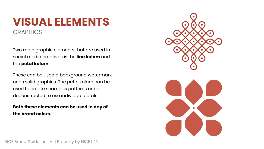## **VISUAL ELEMENTS GRAPHICS**

Two main graphic elements that are used in social media creatives is the **line kolam** and the **petal kolam**.

These can be used a background watermark or as solid graphics. The petal kolam can be used to create seamless patterns or be deconstructed to use individual petals.

#### **Both these elements can be used in any of the brand colors.**

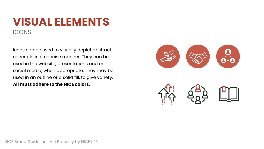## **VISUAL ELEMENTS ICONS**

Icons can be used to visually depict abstract concepts in a concise manner. They can be used in the website, presentations and on social media, when appropriate. They may be used in an outline or a solid fill, to give variety. **All must adhere to the NICE colors.**

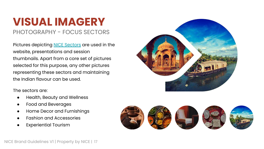PHOTOGRAPHY - FOCUS SECTORS

Pictures depicting [NICE Sectors](https://niceorg.in/focus-categories/) are used in the website, presentations and session thumbnails. Apart from a core set of pictures selected for this purpose, any other pictures representing these sectors and maintaining the Indian flavour can be used.



The sectors are:

- Health, Beauty and Wellness
- Food and Beverages
- Home Decor and Furnishings
- **Fashion and Accessories**
- **Experiential Tourism**

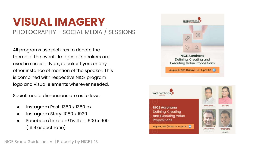## **VISUAL IMAGERY** PHOTOGRAPHY - SOCIAL MEDIA / SESSIONS

All programs use pictures to denote the theme of the event. Images of speakers are used in session flyers, speaker flyers or any other instance of mention of the speaker. This is combined with respective NICE program logo and visual elements wherever needed.

Social media dimensions are as follows:

- Instagram Post: 1350 x 1350 px
- Instagram Story: 1080 x 1920
- Facebook/LinkedIn/Twitter: 1600 x 900 (16:9 aspect ratio)





**SUNANTIE** CEO NICE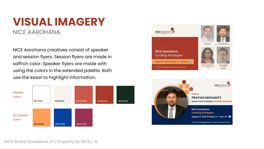### **VISUAL IMAGERY** NICE AAROHANA

NICE Aarohana creatives consist of speaker and session flyers. Session flyers are made in saffron color. Speaker flyers are made with using the colors in the extended palette. Both use the kesar to highlight information.





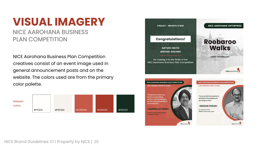NICE AAROHANA BUSINESS PLAN COMPETITION

NICE Aarohana Business Plan Competition creatives consist of an event image used in general announcement posts and on the website. The colors used are from the primary color palette.



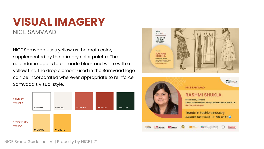NICE SAMVAAD

NICE Samvaad uses yellow as the main color, supplemented by the primary color palette. The calendar image is to be made black and white with a yellow tint. The drop element used in the Samvaad logo can be incorporated wherever appropriate to reinforce Samvaad's visual style.





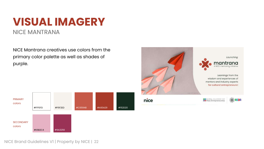NICE MANTRANA

NICE Mantrana creatives use colors from the primary color palette as well as shades of purple.



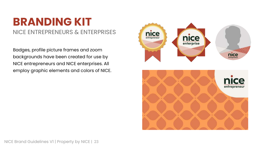## **BRANDING KIT**

#### NICE ENTREPRENEURS & ENTERPRISES

Badges, profile picture frames and zoom backgrounds have been created for use by NICE entrepreneurs and NICE enterprises. All employ graphic elements and colors of NICE.